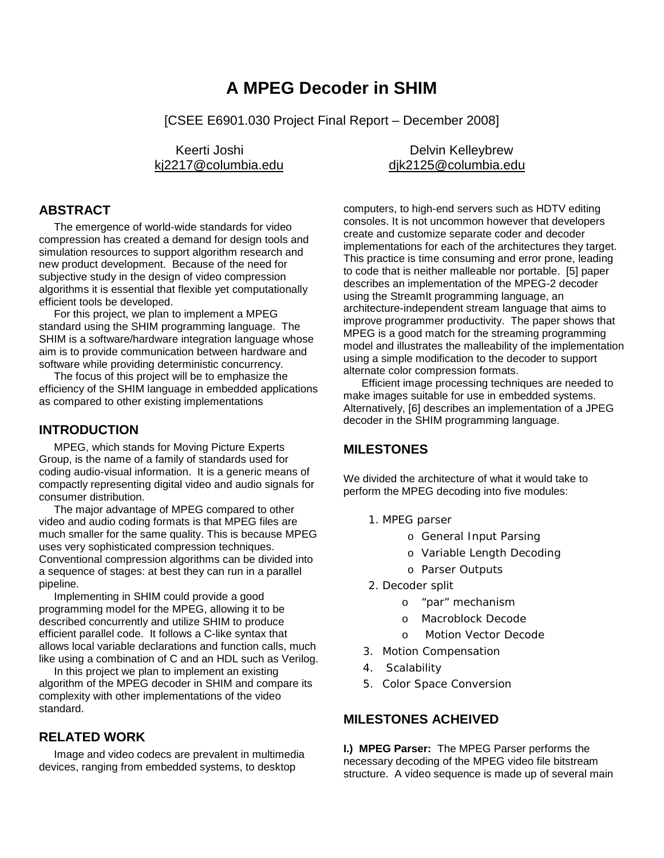# **A MPEG Decoder in SHIM**

[CSEE E6901.030 Project Final Report – December 2008]

## **ABSTRACT**

 The emergence of world-wide standards for video compression has created a demand for design tools and simulation resources to support algorithm research and new product development. Because of the need for subjective study in the design of video compression algorithms it is essential that flexible yet computationally efficient tools be developed.

 For this project, we plan to implement a MPEG standard using the SHIM programming language. The SHIM is a software/hardware integration language whose aim is to provide communication between hardware and software while providing deterministic concurrency.

 The focus of this project will be to emphasize the efficiency of the SHIM language in embedded applications as compared to other existing implementations

#### **INTRODUCTION**

 MPEG, which stands for Moving Picture Experts Group, is the name of a family of standards used for coding audio-visual information. It is a generic means of compactly representing digital video and audio signals for consumer distribution.

 The major advantage of MPEG compared to other video and audio coding formats is that MPEG files are much smaller for the same quality. This is because MPEG uses very sophisticated compression techniques. Conventional compression algorithms can be divided into a sequence of stages: at best they can run in a parallel pipeline.

 Implementing in SHIM could provide a good programming model for the MPEG, allowing it to be described concurrently and utilize SHIM to produce efficient parallel code. It follows a C-like syntax that allows local variable declarations and function calls, much like using a combination of C and an HDL such as Verilog.

 In this project we plan to implement an existing algorithm of the MPEG decoder in SHIM and compare its complexity with other implementations of the video standard.

#### **RELATED WORK**

 Image and video codecs are prevalent in multimedia devices, ranging from embedded systems, to desktop

Keerti Joshi **Delvin Kelleybrew** ki2217@columbia.edu dik2125@columbia.edu

> computers, to high-end servers such as HDTV editing consoles. It is not uncommon however that developers create and customize separate coder and decoder implementations for each of the architectures they target. This practice is time consuming and error prone, leading to code that is neither malleable nor portable. [5] paper describes an implementation of the MPEG-2 decoder using the StreamIt programming language, an architecture-independent stream language that aims to improve programmer productivity. The paper shows that MPEG is a good match for the streaming programming model and illustrates the malleability of the implementation using a simple modification to the decoder to support alternate color compression formats.

 Efficient image processing techniques are needed to make images suitable for use in embedded systems. Alternatively, [6] describes an implementation of a JPEG decoder in the SHIM programming language.

## **MILESTONES**

We divided the architecture of what it would take to perform the MPEG decoding into five modules:

- 1. *MPEG parser*
	- o *General Input Parsing*
	- o *Variable Length Decoding*
	- o *Parser Outputs*
- *2. Decoder split*
	- o *"par" mechanism*
	- o *Macroblock Decode*
	- o *Motion Vector Decode*
- *3. Motion Compensation*
- *4. Scalability*
- *5. Color Space Conversion*

## **MILESTONES ACHEIVED**

**I.) MPEG Parser:** The MPEG Parser performs the necessary decoding of the MPEG video file bitstream structure. A video sequence is made up of several main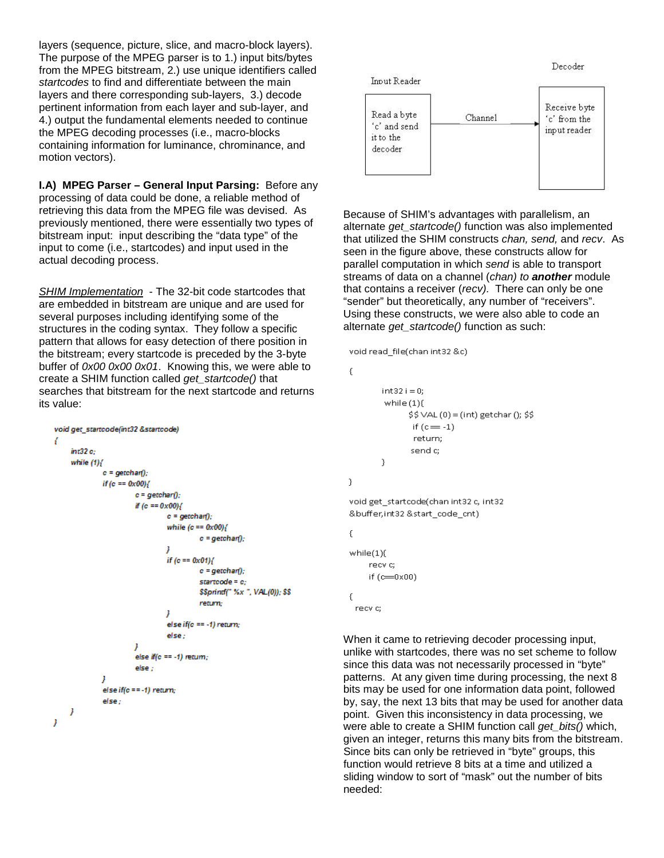layers (sequence, picture, slice, and macro-block layers). The purpose of the MPEG parser is to 1.) input bits/bytes from the MPEG bitstream, 2.) use unique identifiers called *startcodes* to find and differentiate between the main layers and there corresponding sub-layers, 3.) decode pertinent information from each layer and sub-layer, and 4.) output the fundamental elements needed to continue the MPEG decoding processes (i.e., macro-blocks containing information for luminance, chrominance, and motion vectors).

**I.A) MPEG Parser – General Input Parsing:** Before any processing of data could be done, a reliable method of retrieving this data from the MPEG file was devised. As previously mentioned, there were essentially two types of bitstream input: input describing the "data type" of the input to come (i.e., startcodes) and input used in the actual decoding process.

*SHIM Implementation* - The 32-bit code startcodes that are embedded in bitstream are unique and are used for several purposes including identifying some of the structures in the coding syntax. They follow a specific pattern that allows for easy detection of there position in the bitstream; every startcode is preceded by the 3-byte buffer of *0x00 0x00 0x01*. Knowing this, we were able to create a SHIM function called *get\_startcode()* that searches that bitstream for the next startcode and returns its value:

```
void get_startcode(int32 &startcode)
ł
     int32ewhile (1) (c = getchar()if (c == 0x00)c = getchar();
                          if (c == 0x00)c = \operatorname{getchar}(E)while (c == 0x00)c = getchar();
                                    J
                                    if (c == 0x01)c = \alphaetchart):
                                               startcode = c:
                                               $$printf("%x", VAL(0)); $$
                                               return:
                                    1
                                    else if(c == -1) return;
                                    else -
                          else if(c == -1) return;
                          else -
               J
               else if(c == -1) return;
               else -
     1
Ï
```


Because of SHIM's advantages with parallelism, an alternate *get\_startcode()* function was also implemented that utilized the SHIM constructs *chan, send,* and *recv*. As seen in the figure above, these constructs allow for parallel computation in which *send* is able to transport streams of data on a channel (*chan) to another* module that contains a receiver (*recv).* There can only be one "sender" but theoretically, any number of "receivers". Using these constructs, we were also able to code an alternate *get\_startcode()* function as such:

```
void read file(chan int32 &c)
```

```
€
        int32 i = 0while(1)$5 VAL (0) = (int) getchar (); $5if (c = -1)return:
                 send c:
        \mathcal{E}\mathcal{Y}void get startcode(chan int32 c, int32
&buffer,int32 &start_code_cnt)
€
while(1){
     recy c:
     if (c=0x00)€
```
recvic:

When it came to retrieving decoder processing input, unlike with startcodes, there was no set scheme to follow since this data was not necessarily processed in "byte" patterns. At any given time during processing, the next 8 bits may be used for one information data point, followed by, say, the next 13 bits that may be used for another data point. Given this inconsistency in data processing, we were able to create a SHIM function call *get\_bits()* which, given an integer, returns this many bits from the bitstream. Since bits can only be retrieved in "byte" groups, this function would retrieve 8 bits at a time and utilized a sliding window to sort of "mask" out the number of bits needed: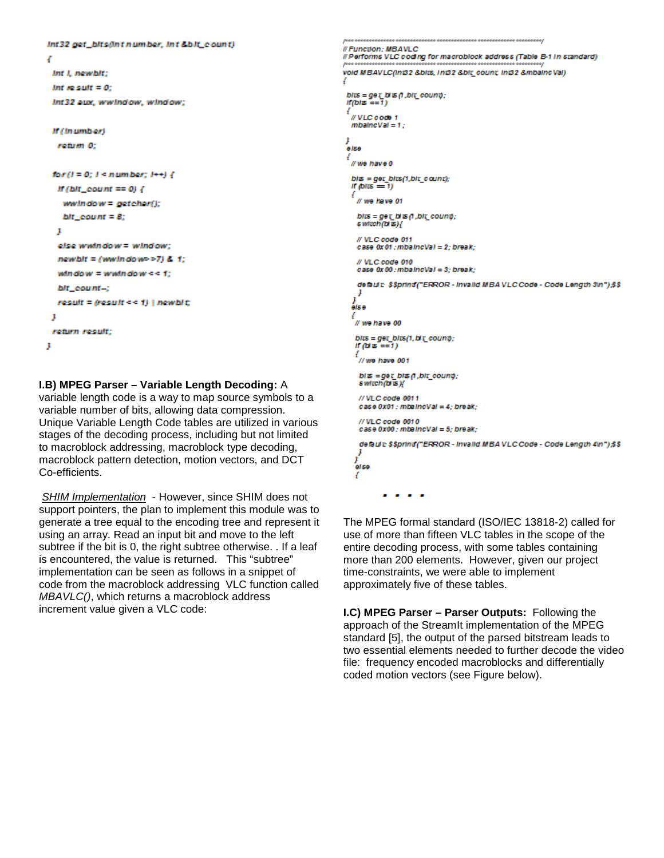```
int32 get_bits@ntnumber, int&bit_count)
x
 int i, newbit:
 Int meanott = 0:
 Int32 aux, wwindow, window;
 If (Inumber)
  reduces 0:
 ker(I=0; I = numbox; I \rightarrow) {
  If (bit_count == 0) {
    www. notow = getchar();
   \Delta R count = 8;
  þ.
  else widedow = window;
  newbit = (wwindow >7) & t;
  window = waindow << 1;
  bit count-:
  result = result \leftarrow t) | newbit;
 J
 rebrn result;
p
```
**I.B) MPEG Parser – Variable Length Decoding:** A

variable length code is a way to map source symbols to a variable number of bits, allowing data compression. Unique Variable Length Code tables are utilized in various stages of the decoding process, including but not limited to macroblock addressing, macroblock type decoding, macroblock pattern detection, motion vectors, and DCT Co-efficients.

*SHIM Implementation* - However, since SHIM does not support pointers, the plan to implement this module was to generate a tree equal to the encoding tree and represent it using an array. Read an input bit and move to the left subtree if the bit is 0, the right subtree otherwise. . If a leaf is encountered, the value is returned. This "subtree" implementation can be seen as follows in a snippet of code from the macroblock addressing VLC function called *MBAVLC()*, which returns a macroblock address increment value given a VLC code:

```
....................................
// Function : MBAVLC
ll Performs VLC coding for macroblock address (Table B-1 in standard)
vold MBAVLC(in32 &bits, In32 &bit count in32 &mbaincVal)
 bits = get bi B \in f, bit_count;
 If(b) = \frac{1}{2}//VLC code 1
  mbalneVal = 1:
 ,<br>alsa
   //we have 0
  bits = get_bits(1,bit_count);<br>if (bits == 1)
   ¥
    // we have 01
    bits = get_bits (1 ,bit_count);<br>switch(bits){
    // VLC code 011
    case 0x 01 : mbalncVal = 2: break:
    // VLC code 010
    case 0x 00 : mbalncVal = 3: break:
    default: $$printf("ERROR - invalid MBA VLC Code - Code Length 3\n");$$
     ,
   else
   1
    // we have 00
    bits = get_bits(1, bit_count);<br>if (bits ==1)
     //we have 001
     \begin{array}{l} \textit{bits}=\textit{geq bits} \, \textit{this} \, \textit{this} \, \textit{con} \, \textit{only}; \\ \textit{switch} \, \textit{this} \, \textit{if} \end{array}</math>// VLC code 0011
     case 0x01 : mbalncVal = 4; break;
     // VLC code 0010
     case 0x00: mbalncVal = 5; break;
     default: $$printf("ERROR - invalid MBAVLCCode - Code Length 4\n");$$
    j<br>else
    4
                 . . .
              ٠
```
The MPEG formal standard (ISO/IEC 13818-2) called for use of more than fifteen VLC tables in the scope of the entire decoding process, with some tables containing more than 200 elements. However, given our project time-constraints, we were able to implement approximately five of these tables.

**I.C) MPEG Parser – Parser Outputs:** Following the approach of the StreamIt implementation of the MPEG standard [5], the output of the parsed bitstream leads to two essential elements needed to further decode the video file: frequency encoded macroblocks and differentially coded motion vectors (see Figure below).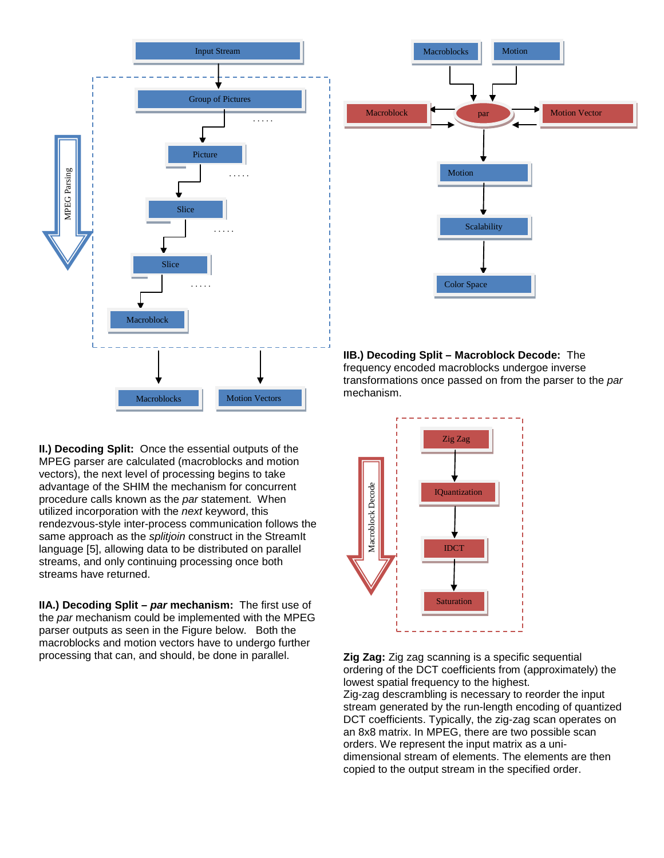

**II.) Decoding Split:** Once the essential outputs of the MPEG parser are calculated (macroblocks and motion vectors), the next level of processing begins to take advantage of the SHIM the mechanism for concurrent procedure calls known as the *par* statement. When utilized incorporation with the *next* keyword, this rendezvous-style inter-process communication follows the same approach as the *splitjoin* construct in the StreamIt language [5], allowing data to be distributed on parallel streams, and only continuing processing once both streams have returned.

**IIA.) Decoding Split –** *par* **mechanism:** The first use of the *par* mechanism could be implemented with the MPEG parser outputs as seen in the Figure below. Both the macroblocks and motion vectors have to undergo further processing that can, and should, be done in parallel.



**IIB.) Decoding Split – Macroblock Decode:** The frequency encoded macroblocks undergoe inverse transformations once passed on from the parser to the *par* mechanism.



**Zig Zag:** Zig zag scanning is a specific sequential ordering of the DCT coefficients from (approximately) the lowest spatial frequency to the highest.

Zig-zag descrambling is necessary to reorder the input stream generated by the run-length encoding of quantized DCT coefficients. Typically, the zig-zag scan operates on an 8x8 matrix. In MPEG, there are two possible scan orders. We represent the input matrix as a unidimensional stream of elements. The elements are then copied to the output stream in the specified order.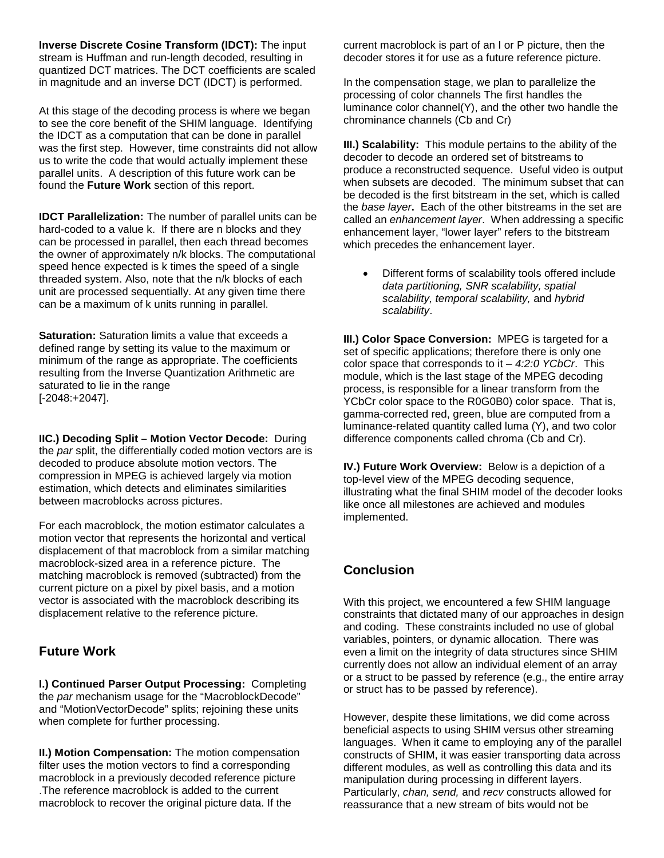**Inverse Discrete Cosine Transform (IDCT):** The input stream is Huffman and run-length decoded, resulting in quantized DCT matrices. The DCT coefficients are scaled in magnitude and an inverse DCT (IDCT) is performed.

At this stage of the decoding process is where we began to see the core benefit of the SHIM language. Identifying the IDCT as a computation that can be done in parallel was the first step. However, time constraints did not allow us to write the code that would actually implement these parallel units. A description of this future work can be found the **Future Work** section of this report.

**IDCT Parallelization:** The number of parallel units can be hard-coded to a value k. If there are n blocks and they can be processed in parallel, then each thread becomes the owner of approximately n/k blocks. The computational speed hence expected is k times the speed of a single threaded system. Also, note that the n/k blocks of each unit are processed sequentially. At any given time there can be a maximum of k units running in parallel.

**Saturation:** Saturation limits a value that exceeds a defined range by setting its value to the maximum or minimum of the range as appropriate. The coefficients resulting from the Inverse Quantization Arithmetic are saturated to lie in the range [-2048:+2047].

**IIC.) Decoding Split – Motion Vector Decode:** During the *par* split, the differentially coded motion vectors are is decoded to produce absolute motion vectors. The compression in MPEG is achieved largely via motion estimation, which detects and eliminates similarities between macroblocks across pictures.

For each macroblock, the motion estimator calculates a motion vector that represents the horizontal and vertical displacement of that macroblock from a similar matching macroblock-sized area in a reference picture. The matching macroblock is removed (subtracted) from the current picture on a pixel by pixel basis, and a motion vector is associated with the macroblock describing its displacement relative to the reference picture.

## **Future Work**

**I.) Continued Parser Output Processing:** Completing the *par* mechanism usage for the "MacroblockDecode" and "MotionVectorDecode" splits; rejoining these units when complete for further processing.

**II.) Motion Compensation:** The motion compensation filter uses the motion vectors to find a corresponding macroblock in a previously decoded reference picture .The reference macroblock is added to the current macroblock to recover the original picture data. If the

current macroblock is part of an I or P picture, then the decoder stores it for use as a future reference picture.

In the compensation stage, we plan to parallelize the processing of color channels The first handles the luminance color channel(Y), and the other two handle the chrominance channels (Cb and Cr)

**III.) Scalability:** This module pertains to the ability of the decoder to decode an ordered set of bitstreams to produce a reconstructed sequence. Useful video is output when subsets are decoded. The minimum subset that can be decoded is the first bitstream in the set, which is called the *base layer***.** Each of the other bitstreams in the set are called an *enhancement layer*. When addressing a specific enhancement layer, "lower layer" refers to the bitstream which precedes the enhancement layer.

• Different forms of scalability tools offered include *data partitioning, SNR scalability, spatial scalability, temporal scalability,* and *hybrid scalability*.

**III.) Color Space Conversion: MPEG is targeted for a** set of specific applications; therefore there is only one color space that corresponds to it – *4:2:0 YCbCr*. This module, which is the last stage of the MPEG decoding process, is responsible for a linear transform from the YCbCr color space to the R0G0B0) color space. That is, gamma-corrected red, green, blue are computed from a luminance-related quantity called luma (Y), and two color difference components called chroma (Cb and Cr).

**IV.) Future Work Overview:** Below is a depiction of a top-level view of the MPEG decoding sequence, illustrating what the final SHIM model of the decoder looks like once all milestones are achieved and modules implemented.

# **Conclusion**

With this project, we encountered a few SHIM language constraints that dictated many of our approaches in design and coding. These constraints included no use of global variables, pointers, or dynamic allocation. There was even a limit on the integrity of data structures since SHIM currently does not allow an individual element of an array or a struct to be passed by reference (e.g., the entire array or struct has to be passed by reference).

However, despite these limitations, we did come across beneficial aspects to using SHIM versus other streaming languages. When it came to employing any of the parallel constructs of SHIM, it was easier transporting data across different modules, as well as controlling this data and its manipulation during processing in different layers. Particularly, *chan, send,* and *recv* constructs allowed for reassurance that a new stream of bits would not be